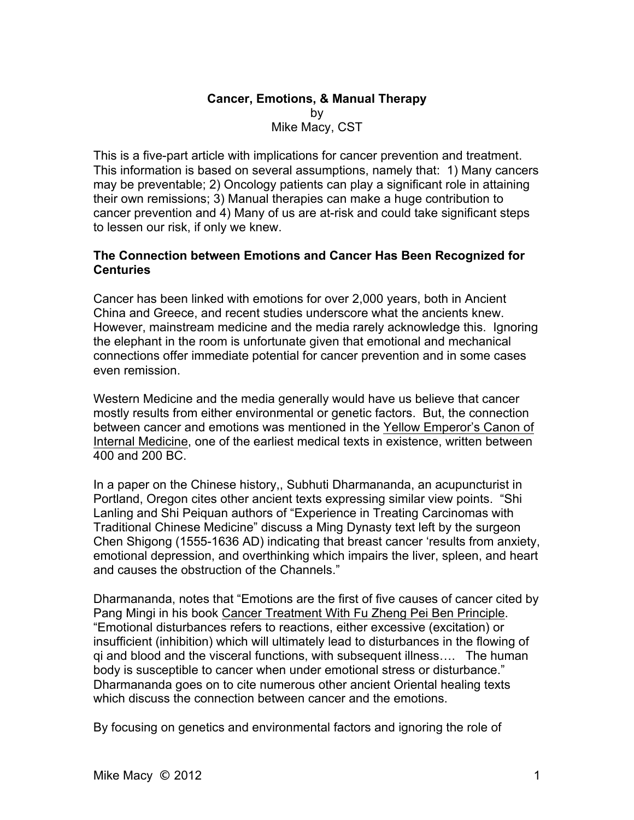# **Cancer, Emotions, & Manual Therapy** by Mike Macy, CST

This is a five-part article with implications for cancer prevention and treatment. This information is based on several assumptions, namely that: 1) Many cancers may be preventable; 2) Oncology patients can play a significant role in attaining their own remissions; 3) Manual therapies can make a huge contribution to cancer prevention and 4) Many of us are at-risk and could take significant steps to lessen our risk, if only we knew.

#### **The Connection between Emotions and Cancer Has Been Recognized for Centuries**

Cancer has been linked with emotions for over 2,000 years, both in Ancient China and Greece, and recent studies underscore what the ancients knew. However, mainstream medicine and the media rarely acknowledge this. Ignoring the elephant in the room is unfortunate given that emotional and mechanical connections offer immediate potential for cancer prevention and in some cases even remission.

Western Medicine and the media generally would have us believe that cancer mostly results from either environmental or genetic factors. But, the connection between cancer and emotions was mentioned in the Yellow Emperor's Canon of Internal Medicine, one of the earliest medical texts in existence, written between 400 and 200 BC.

In a paper on the Chinese history,, Subhuti Dharmananda, an acupuncturist in Portland, Oregon cites other ancient texts expressing similar view points. "Shi Lanling and Shi Peiquan authors of "Experience in Treating Carcinomas with Traditional Chinese Medicine" discuss a Ming Dynasty text left by the surgeon Chen Shigong (1555-1636 AD) indicating that breast cancer 'results from anxiety, emotional depression, and overthinking which impairs the liver, spleen, and heart and causes the obstruction of the Channels."

Dharmananda, notes that "Emotions are the first of five causes of cancer cited by Pang Mingi in his book Cancer Treatment With Fu Zheng Pei Ben Principle. "Emotional disturbances refers to reactions, either excessive (excitation) or insufficient (inhibition) which will ultimately lead to disturbances in the flowing of qi and blood and the visceral functions, with subsequent illness…. The human body is susceptible to cancer when under emotional stress or disturbance." Dharmananda goes on to cite numerous other ancient Oriental healing texts which discuss the connection between cancer and the emotions.

By focusing on genetics and environmental factors and ignoring the role of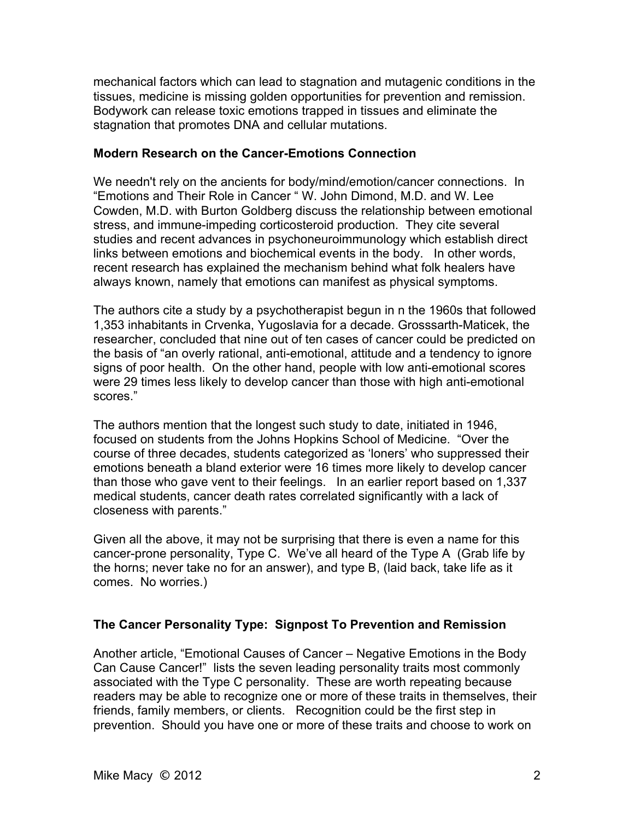mechanical factors which can lead to stagnation and mutagenic conditions in the tissues, medicine is missing golden opportunities for prevention and remission. Bodywork can release toxic emotions trapped in tissues and eliminate the stagnation that promotes DNA and cellular mutations.

#### **Modern Research on the Cancer-Emotions Connection**

We needn't rely on the ancients for body/mind/emotion/cancer connections. In "Emotions and Their Role in Cancer " W. John Dimond, M.D. and W. Lee Cowden, M.D. with Burton Goldberg discuss the relationship between emotional stress, and immune-impeding corticosteroid production. They cite several studies and recent advances in psychoneuroimmunology which establish direct links between emotions and biochemical events in the body. In other words, recent research has explained the mechanism behind what folk healers have always known, namely that emotions can manifest as physical symptoms.

The authors cite a study by a psychotherapist begun in n the 1960s that followed 1,353 inhabitants in Crvenka, Yugoslavia for a decade. Grosssarth-Maticek, the researcher, concluded that nine out of ten cases of cancer could be predicted on the basis of "an overly rational, anti-emotional, attitude and a tendency to ignore signs of poor health. On the other hand, people with low anti-emotional scores were 29 times less likely to develop cancer than those with high anti-emotional scores."

The authors mention that the longest such study to date, initiated in 1946, focused on students from the Johns Hopkins School of Medicine. "Over the course of three decades, students categorized as 'loners' who suppressed their emotions beneath a bland exterior were 16 times more likely to develop cancer than those who gave vent to their feelings. In an earlier report based on 1,337 medical students, cancer death rates correlated significantly with a lack of closeness with parents."

Given all the above, it may not be surprising that there is even a name for this cancer-prone personality, Type C. We've all heard of the Type A (Grab life by the horns; never take no for an answer), and type B, (laid back, take life as it comes. No worries.)

# **The Cancer Personality Type: Signpost To Prevention and Remission**

Another article, "Emotional Causes of Cancer – Negative Emotions in the Body Can Cause Cancer!" lists the seven leading personality traits most commonly associated with the Type C personality. These are worth repeating because readers may be able to recognize one or more of these traits in themselves, their friends, family members, or clients. Recognition could be the first step in prevention. Should you have one or more of these traits and choose to work on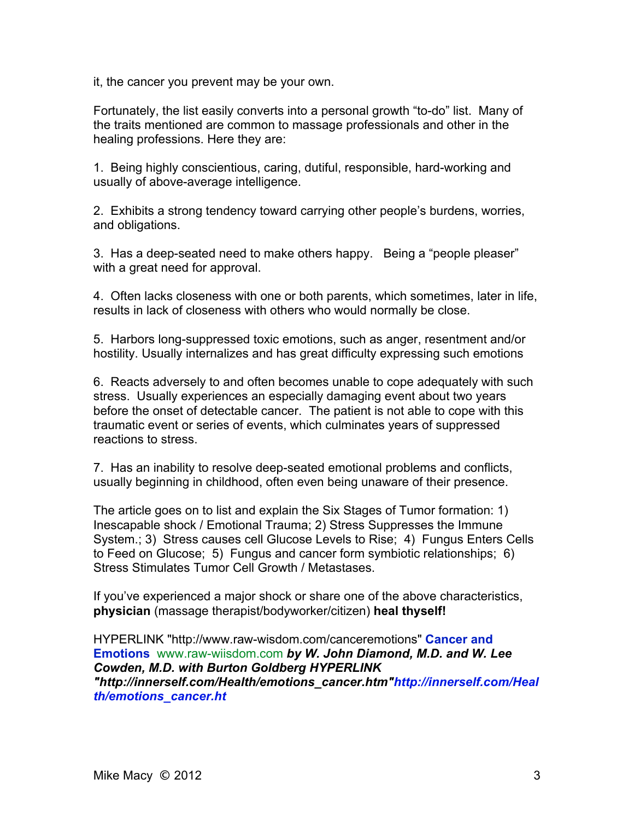it, the cancer you prevent may be your own.

Fortunately, the list easily converts into a personal growth "to-do" list. Many of the traits mentioned are common to massage professionals and other in the healing professions. Here they are:

1. Being highly conscientious, caring, dutiful, responsible, hard-working and usually of above-average intelligence.

2. Exhibits a strong tendency toward carrying other people's burdens, worries, and obligations.

3. Has a deep-seated need to make others happy. Being a "people pleaser" with a great need for approval.

4. Often lacks closeness with one or both parents, which sometimes, later in life, results in lack of closeness with others who would normally be close.

5. Harbors long-suppressed toxic emotions, such as anger, resentment and/or hostility. Usually internalizes and has great difficulty expressing such emotions

6. Reacts adversely to and often becomes unable to cope adequately with such stress. Usually experiences an especially damaging event about two years before the onset of detectable cancer. The patient is not able to cope with this traumatic event or series of events, which culminates years of suppressed reactions to stress.

7. Has an inability to resolve deep-seated emotional problems and conflicts, usually beginning in childhood, often even being unaware of their presence.

The article goes on to list and explain the Six Stages of Tumor formation: 1) Inescapable shock / Emotional Trauma; 2) Stress Suppresses the Immune System.; 3) Stress causes cell Glucose Levels to Rise; 4) Fungus Enters Cells to Feed on Glucose; 5) Fungus and cancer form symbiotic relationships; 6) Stress Stimulates Tumor Cell Growth / Metastases.

If you've experienced a major shock or share one of the above characteristics, **physician** (massage therapist/bodyworker/citizen) **heal thyself!**

HYPERLINK "http://www.raw-wisdom.com/canceremotions" **Cancer and Emotions** www.raw-wiisdom.com *by W. John Diamond, M.D. and W. Lee Cowden, M.D. with Burton Goldberg HYPERLINK "http://innerself.com/Health/emotions\_cancer.htm"http://innerself.com/Heal th/emotions\_cancer.ht*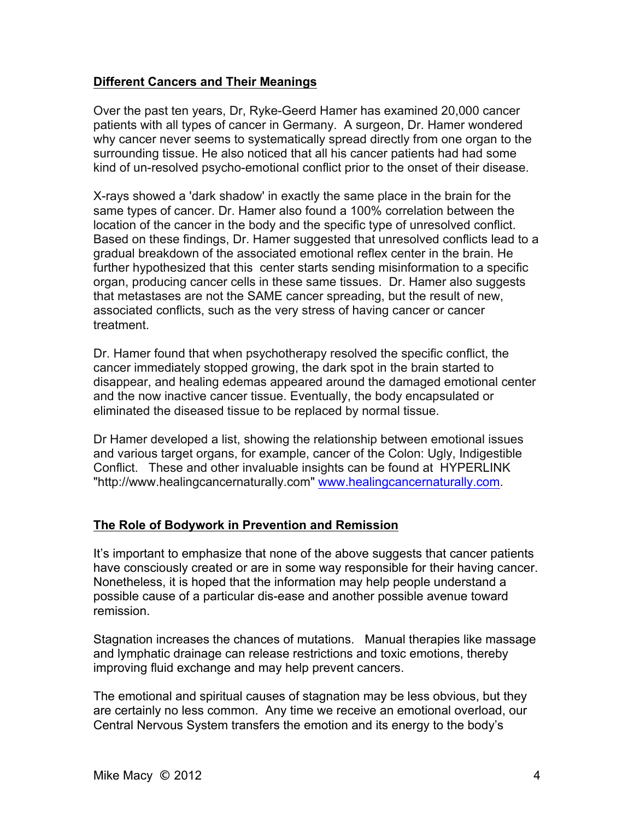#### **Different Cancers and Their Meanings**

Over the past ten years, Dr, Ryke-Geerd Hamer has examined 20,000 cancer patients with all types of cancer in Germany. A surgeon, Dr. Hamer wondered why cancer never seems to systematically spread directly from one organ to the surrounding tissue. He also noticed that all his cancer patients had had some kind of un-resolved psycho-emotional conflict prior to the onset of their disease.

X-rays showed a 'dark shadow' in exactly the same place in the brain for the same types of cancer. Dr. Hamer also found a 100% correlation between the location of the cancer in the body and the specific type of unresolved conflict. Based on these findings, Dr. Hamer suggested that unresolved conflicts lead to a gradual breakdown of the associated emotional reflex center in the brain. He further hypothesized that this center starts sending misinformation to a specific organ, producing cancer cells in these same tissues. Dr. Hamer also suggests that metastases are not the SAME cancer spreading, but the result of new, associated conflicts, such as the very stress of having cancer or cancer treatment.

Dr. Hamer found that when psychotherapy resolved the specific conflict, the cancer immediately stopped growing, the dark spot in the brain started to disappear, and healing edemas appeared around the damaged emotional center and the now inactive cancer tissue. Eventually, the body encapsulated or eliminated the diseased tissue to be replaced by normal tissue.

Dr Hamer developed a list, showing the relationship between emotional issues and various target organs, for example, cancer of the Colon: Ugly, Indigestible Conflict. These and other invaluable insights can be found at HYPERLINK "http://www.healingcancernaturally.com" www.healingcancernaturally.com.

# **The Role of Bodywork in Prevention and Remission**

It's important to emphasize that none of the above suggests that cancer patients have consciously created or are in some way responsible for their having cancer. Nonetheless, it is hoped that the information may help people understand a possible cause of a particular dis-ease and another possible avenue toward remission.

Stagnation increases the chances of mutations. Manual therapies like massage and lymphatic drainage can release restrictions and toxic emotions, thereby improving fluid exchange and may help prevent cancers.

The emotional and spiritual causes of stagnation may be less obvious, but they are certainly no less common. Any time we receive an emotional overload, our Central Nervous System transfers the emotion and its energy to the body's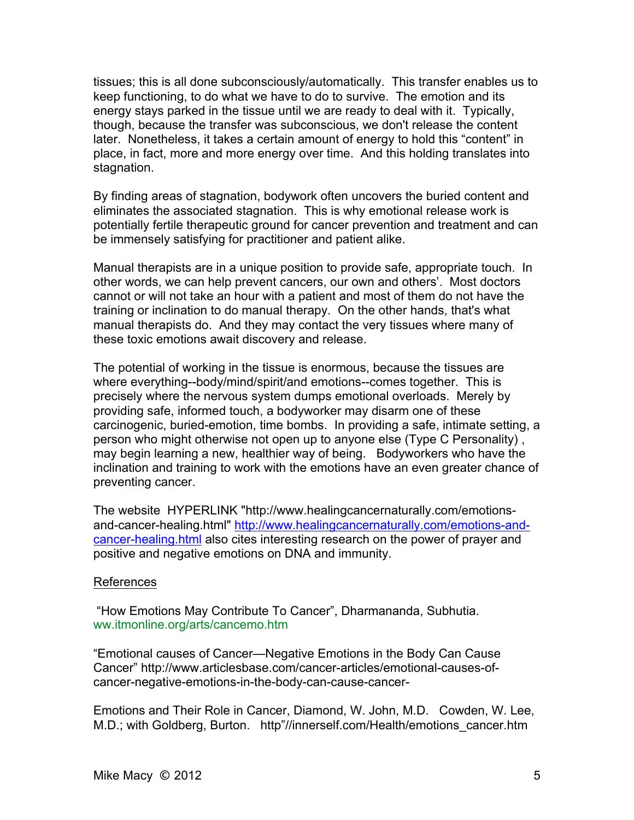tissues; this is all done subconsciously/automatically. This transfer enables us to keep functioning, to do what we have to do to survive. The emotion and its energy stays parked in the tissue until we are ready to deal with it. Typically, though, because the transfer was subconscious, we don't release the content later. Nonetheless, it takes a certain amount of energy to hold this "content" in place, in fact, more and more energy over time. And this holding translates into stagnation.

By finding areas of stagnation, bodywork often uncovers the buried content and eliminates the associated stagnation. This is why emotional release work is potentially fertile therapeutic ground for cancer prevention and treatment and can be immensely satisfying for practitioner and patient alike.

Manual therapists are in a unique position to provide safe, appropriate touch. In other words, we can help prevent cancers, our own and others'. Most doctors cannot or will not take an hour with a patient and most of them do not have the training or inclination to do manual therapy. On the other hands, that's what manual therapists do. And they may contact the very tissues where many of these toxic emotions await discovery and release.

The potential of working in the tissue is enormous, because the tissues are where everything--body/mind/spirit/and emotions--comes together. This is precisely where the nervous system dumps emotional overloads. Merely by providing safe, informed touch, a bodyworker may disarm one of these carcinogenic, buried-emotion, time bombs. In providing a safe, intimate setting, a person who might otherwise not open up to anyone else (Type C Personality) , may begin learning a new, healthier way of being. Bodyworkers who have the inclination and training to work with the emotions have an even greater chance of preventing cancer.

The website HYPERLINK "http://www.healingcancernaturally.com/emotionsand-cancer-healing.html" http://www.healingcancernaturally.com/emotions-andcancer-healing.html also cites interesting research on the power of prayer and positive and negative emotions on DNA and immunity.

#### References

"How Emotions May Contribute To Cancer", Dharmananda, Subhutia. ww.itmonline.org/arts/cancemo.htm

"Emotional causes of Cancer—Negative Emotions in the Body Can Cause Cancer" http://www.articlesbase.com/cancer-articles/emotional-causes-ofcancer-negative-emotions-in-the-body-can-cause-cancer-

Emotions and Their Role in Cancer, Diamond, W. John, M.D. Cowden, W. Lee, M.D.; with Goldberg, Burton. http"//innerself.com/Health/emotions\_cancer.htm